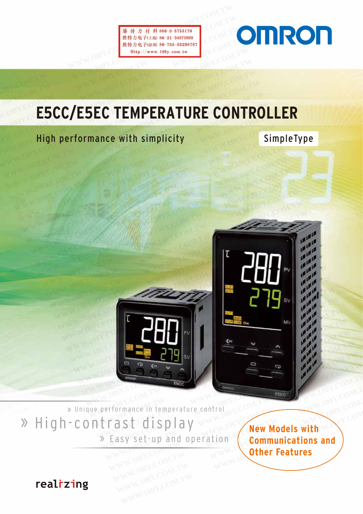**勝特力は行政のマークスタントンの<br>
歴物力电子に削 86-31-34970699**<br>
歴物力电子に削 86-755-83298787<br>
Http://www.100Y.com.tw <br>
WWW.100Y.COM.TW <br>
WWW.100Y.COM.TW WWW.100Y.COM<br>
<br>
200Y.COM.TW WWW.100Y.COM.TW WWW.100Y.COM



## **ESCC/ESEC TEMPERATURE CONTROLLER WEREAD FRACTEMPERS THE MORE OF A THEF COMPUTER OF A THEFT COMPUTER OF A THEFT COMPUTER OF A THEFT COMPUTER OF A THEFT COMPUTER OF A THEFT COMPUTER OF A THEFT COMPUTER OF A THEFT COMPUTER OF A THEFT COMPUTER OF A THEFT CO WWW.100Y.COM.TW WWW.100Y.COM.TW WWW.100Y.COM.TW WWW.100Y.COM.TW & RESCONT RESCONT RESCONT RESPONSE CONTRAT PROPER AT URE CONTRAT UP: ESCC/ESEC TEMPERATURE CONTR WWW.100Y.COM.TW WWW.100Y.COM.TW WWW.100Y.COM.TW WWW.200YESCC/ESEC TEMPERATURE CONTRO<br>
Aligh performance with simplicity E5CC/E5EC TEMPERATURE CONTRO**<br> **High performance with simplicity E5CC/E5EC TEMPERATURE CONTROL**<br> **High performance with simplicity WWW.100Y.COM.TW WWW.100Y.COM.TW WWW.100Y.COM.TW WWW.100Y.COM.TW WWW.100Y.COM.TW WWW.100Y.COM<br>WWW.100Y.COM.TW MWW.100Y.COM.TW WWW.100Y.COM<br>WWW.100Y.COM.TW WWW.100Y.COM.TW WWW.100Y.COM**

# High performance with simplicity SimpleType **WWW.100Y.COM.TW WWW.100Y.COM.TW RESORTING COMPANY.TOOK.COM WWW.100Y.COM.TW AWWW.100Y.COM.TW RESORT**





» Unique performance in temperature control » High-contrast display

» Easy set-up and operation

**New Models with Communications and Other Features**  Example 2 We will be a series of the series of the series of the series of the series of the series of the series of the series of the series of the series of the series of the series of the series of the series of the ser Formance in temperature control<br> **WWW.100Y.COM.TW FAST display**<br> **Easy set-up and operation**<br> **WWW.Models with Communications and Other Features** Formance in temperature control. COM.TW **Rew Models with**<br>
Casy set-up and operation **Communications and Other Features WAWW.100Y.COM.TW COM.TW AND COM.TW AND COM.TW COM.TW COM.TW COM.TW COM.TW COM.TW COM.TW COM.TW COM.TW COM.TW COM.TW COM.TW COM.TW COM.TW COM.TW COM.TW COM.TW COM.TW COM.TW COM.TW COM.TW COM.TW COM.TW COM.TW COM.TW COM.TW** 

realizing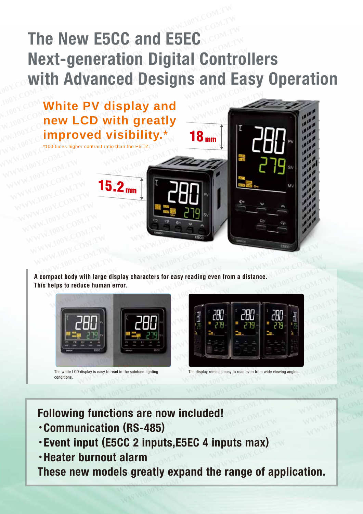## **The New E5CC and E5EC Next-generation Digital Controllers with Advanced Designs and Easy Operation The New E5CC and E5EC<br>Next-generation Digital Cont<br>with Advanced Designs and The New E5CC and E5EC<br>
Next-generation Digital Contr<br>
with Advanced Designs and E<br>
White PV display and The New E5CC and E5EC<br>
Next-generation Digital Control<br>
with Advanced Designs and East<br>
White PV display and<br>
new LCD with greatly Mext-generation Digital Contro**<br>
With Advanced Designs and Ea<br>
White PV display and<br>
new LCD with greatly<br>
improved visibility.<sup>\*</sup> 19



**A compact body with large display characters for easy reading even from a distance. This helps to reduce human error.** 



The white LCD display is easy to read in the subdued lighting conditions.



The display remains easy to read even from wide viewing angles.

**Following functions are now included!** 

- ・**Communication (RS-485)**
- ・**Event input (E5CC 2 inputs,E5EC 4 inputs max)**  The display remains easy to read even from wide viewing angles.<br> **Ctions are now included!**<br> **WESCC 2 inputs,E5EC 4 inputs max) WWW.1008 are now included!**<br> **WWW.1008 are now included!**<br> **WWW.100Y.2008 inputs,E5EC 4 inputs max)**<br> **WARD:**<br> **WARD:**<br> **WARD:**<br> **WARD:**<br> **WARD:**<br> **WARD:**<br> **WARD:**<br> **WARD:**<br> **WARD:**<br> **WARD:**<br> **WARD:**<br> **WARD:**<br> **WARD:**<br> **W**
- ・**Heater burnout alarm**

**These new models greatly expand the range of application.**<br> **WWW.100Y.Communication (RS-485)**<br> **Weater burnout alarm**<br> **These new models greatly expand the range of application. ons are now included!**<br> **CCC 2 inputs,E5EC 4 inputs max)**<br> **CCC 2 inputs,E5EC 4 inputs max)**<br> **EXEC 2 inputs,E5EC 4 inputs max)**<br> **EXECTE: EXAMPLE 100Y INCREASURE 100YOF WARKS-485)**<br> **COM 2 inputs,E5EC 4 inputs max)**<br> **Malarm**<br> **EXAMPLE 100Y.COM.TW IS greatly expand the range of application.**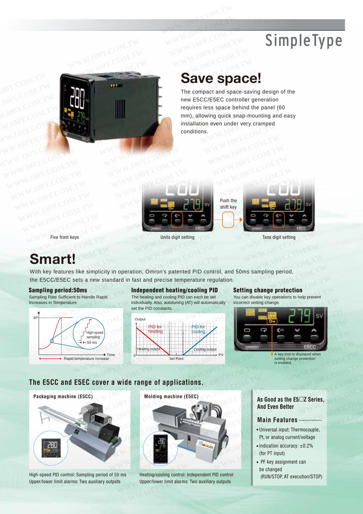## SimpleType



### **Save space!**

The compact and space-saving design of the new E5CC/E5EC controller generation requires less space behind the panel (60 mm), allowing quick snap-mounting and easy installation even under very cramped conditions.



#### Five front keys Tens digit setting Tens digit setting Tens digit setting

### **Smart!**

With key features like simplicity in operation, Omron's patented PID control, and 50ms sampling period, the E5CC/E5EC sets a new standard in fast and precise temperature regulation. Exce Vie front keys<br>
We front keys<br>
Tens digit setting<br>
Exce Vietnament Markov Units digit setting<br>
Tens digit setting<br>
Tens digit setting<br>
Tens digit setting<br>
Tens digit setting<br>
Tens digit setting<br>
Tens digit setting<br>
Te Front keys<br>
This digit setting<br>
This digit setting<br>
This digit setting<br>
This digit setting<br>
ESEC sets a new standard in fast and precise temperature regulation.<br> **ESEC sets a** new standard in fast and precise temperature r

#### Sampling period:50ms

Sampling Rate Sufficient to Handle Rapid Increases in Temperature



Independent heating/cooling PID

The heating and cooling PID can each be set individually. Also, autotuning (AT) will automatically set the PID constants.



#### Setting change protection

You can disable key operations to help prevent incorrect setting change.



setting change protection is enabled.

#### **The E5CC and E5EC cover a wide range of applications.**



High-speed PID control: Sampling period of 50 ms Upper/lower limit alarms: Two auxiliary outputs



Heating/cooling control: Independent PID control Upper/lower limit alarms: Two auxiliary outputs

**As Good as the E5Z Series, And Even Better** 

#### **Main Features**

- Universal input: Thermocouple, Pt, or analog current/voltage
- $\bullet$  Indication accuracy:  $\pm 0.2\%$ (for PT input)
- PF key assignment can be changed (RUN/STOP, AT execution/STOP)